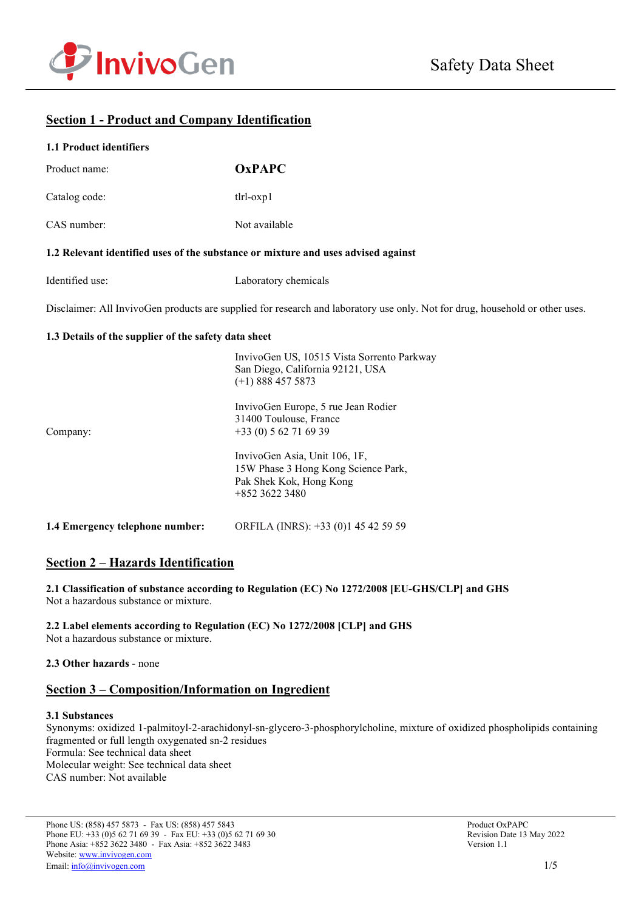

## **Section 1 - Product and Company Identification**

#### **1.1 Product identifiers**

| Product name:                                                                     | <b>OxPAPC</b>                                                                                                                |
|-----------------------------------------------------------------------------------|------------------------------------------------------------------------------------------------------------------------------|
| Catalog code:                                                                     | $tlr$ l- $oxp1$                                                                                                              |
| CAS number:                                                                       | Not available                                                                                                                |
| 1.2 Relevant identified uses of the substance or mixture and uses advised against |                                                                                                                              |
| Identified use:                                                                   | Laboratory chemicals                                                                                                         |
|                                                                                   | Disclaimer: All InvivoGen products are supplied for research and laboratory use only. Not for drug, household or other uses. |
| 1.3 Details of the supplier of the safety data sheet                              |                                                                                                                              |
|                                                                                   | InvivoGen US, 10515 Vista Sorrento Parkway<br>San Diego, California 92121, USA<br>$(+1)$ 888 457 5873                        |
| Company:                                                                          | InvivoGen Europe, 5 rue Jean Rodier<br>31400 Toulouse, France<br>$+33(0) 562716939$                                          |
|                                                                                   | InvivoGen Asia, Unit 106, 1F,<br>15W Phase 3 Hong Kong Science Park,<br>Pak Shek Kok, Hong Kong<br>+852 3622 3480            |
| 1.4 Emergency telephone number:                                                   | ORFILA (INRS): +33 (0)1 45 42 59 59                                                                                          |

## **Section 2 – Hazards Identification**

**2.1 Classification of substance according to Regulation (EC) No 1272/2008 [EU-GHS/CLP] and GHS** Not a hazardous substance or mixture.

**2.2 Label elements according to Regulation (EC) No 1272/2008 [CLP] and GHS** Not a hazardous substance or mixture.

#### **2.3 Other hazards** - none

### **Section 3 – Composition/Information on Ingredient**

#### **3.1 Substances**

Synonyms: oxidized 1-palmitoyl-2-arachidonyl-sn-glycero-3-phosphorylcholine, mixture of oxidized phospholipids containing fragmented or full length oxygenated sn-2 residues Formula: See technical data sheet Molecular weight: See technical data sheet CAS number: Not available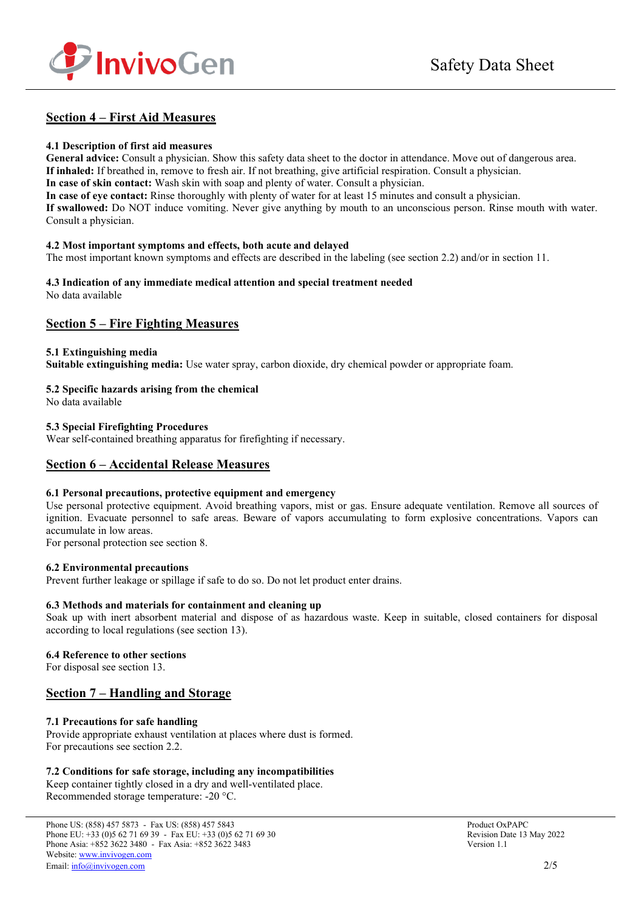

## **Section 4 – First Aid Measures**

#### **4.1 Description of first aid measures**

**General advice:** Consult a physician. Show this safety data sheet to the doctor in attendance. Move out of dangerous area. **If inhaled:** If breathed in, remove to fresh air. If not breathing, give artificial respiration. Consult a physician.

**In case of skin contact:** Wash skin with soap and plenty of water. Consult a physician.

**In case of eye contact:** Rinse thoroughly with plenty of water for at least 15 minutes and consult a physician.

**If swallowed:** Do NOT induce vomiting. Never give anything by mouth to an unconscious person. Rinse mouth with water. Consult a physician.

#### **4.2 Most important symptoms and effects, both acute and delayed**

The most important known symptoms and effects are described in the labeling (see section 2.2) and/or in section 11.

# **4.3 Indication of any immediate medical attention and special treatment needed**

No data available

### **Section 5 – Fire Fighting Measures**

#### **5.1 Extinguishing media**

**Suitable extinguishing media:** Use water spray, carbon dioxide, dry chemical powder or appropriate foam.

#### **5.2 Specific hazards arising from the chemical**

No data available

#### **5.3 Special Firefighting Procedures**

Wear self-contained breathing apparatus for firefighting if necessary.

### **Section 6 – Accidental Release Measures**

#### **6.1 Personal precautions, protective equipment and emergency**

Use personal protective equipment. Avoid breathing vapors, mist or gas. Ensure adequate ventilation. Remove all sources of ignition. Evacuate personnel to safe areas. Beware of vapors accumulating to form explosive concentrations. Vapors can accumulate in low areas.

For personal protection see section 8.

#### **6.2 Environmental precautions**

Prevent further leakage or spillage if safe to do so. Do not let product enter drains.

#### **6.3 Methods and materials for containment and cleaning up**

Soak up with inert absorbent material and dispose of as hazardous waste. Keep in suitable, closed containers for disposal according to local regulations (see section 13).

#### **6.4 Reference to other sections**

For disposal see section 13.

## **Section 7 – Handling and Storage**

### **7.1 Precautions for safe handling**

Provide appropriate exhaust ventilation at places where dust is formed. For precautions see section 2.2.

#### **7.2 Conditions for safe storage, including any incompatibilities**

Keep container tightly closed in a dry and well-ventilated place. Recommended storage temperature: -20 °C.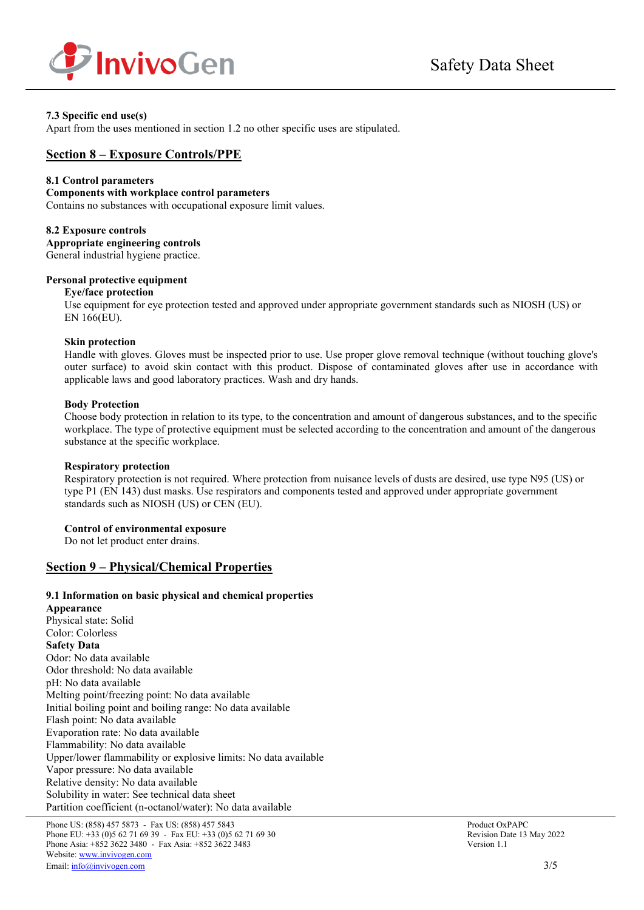

### **7.3 Specific end use(s)**

Apart from the uses mentioned in section 1.2 no other specific uses are stipulated.

### **Section 8 – Exposure Controls/PPE**

#### **8.1 Control parameters**

#### **Components with workplace control parameters**

Contains no substances with occupational exposure limit values.

#### **8.2 Exposure controls**

**Appropriate engineering controls** General industrial hygiene practice.

### **Personal protective equipment**

#### **Eye/face protection**

Use equipment for eye protection tested and approved under appropriate government standards such as NIOSH (US) or EN 166(EU).

#### **Skin protection**

Handle with gloves. Gloves must be inspected prior to use. Use proper glove removal technique (without touching glove's outer surface) to avoid skin contact with this product. Dispose of contaminated gloves after use in accordance with applicable laws and good laboratory practices. Wash and dry hands.

#### **Body Protection**

Choose body protection in relation to its type, to the concentration and amount of dangerous substances, and to the specific workplace. The type of protective equipment must be selected according to the concentration and amount of the dangerous substance at the specific workplace.

#### **Respiratory protection**

Respiratory protection is not required. Where protection from nuisance levels of dusts are desired, use type N95 (US) or type P1 (EN 143) dust masks. Use respirators and components tested and approved under appropriate government standards such as NIOSH (US) or CEN (EU).

#### **Control of environmental exposure**

Do not let product enter drains.

### **Section 9 – Physical/Chemical Properties**

#### **9.1 Information on basic physical and chemical properties**

**Appearance** Physical state: Solid Color: Colorless **Safety Data** Odor: No data available Odor threshold: No data available pH: No data available Melting point/freezing point: No data available Initial boiling point and boiling range: No data available Flash point: No data available Evaporation rate: No data available Flammability: No data available Upper/lower flammability or explosive limits: No data available Vapor pressure: No data available Relative density: No data available Solubility in water: See technical data sheet Partition coefficient (n-octanol/water): No data available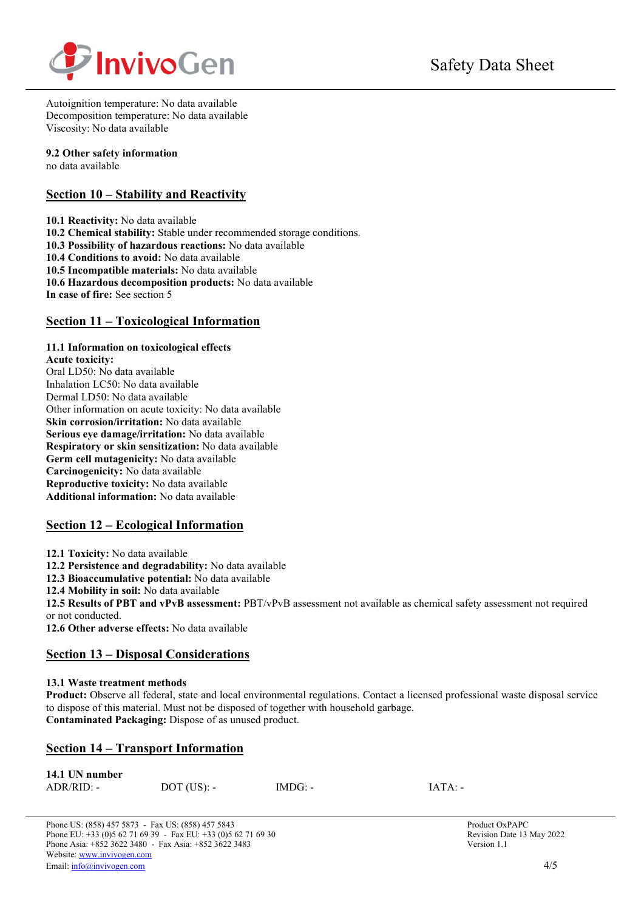

Autoignition temperature: No data available Decomposition temperature: No data available Viscosity: No data available

### **9.2 Other safety information**

no data available

## **Section 10 – Stability and Reactivity**

**10.1 Reactivity:** No data available **10.2 Chemical stability:** Stable under recommended storage conditions. **10.3 Possibility of hazardous reactions:** No data available **10.4 Conditions to avoid:** No data available **10.5 Incompatible materials:** No data available **10.6 Hazardous decomposition products:** No data available **In case of fire:** See section 5

## **Section 11 – Toxicological Information**

### **11.1 Information on toxicological effects**

**Acute toxicity:** Oral LD50: No data available Inhalation LC50: No data available Dermal LD50: No data available Other information on acute toxicity: No data available **Skin corrosion/irritation:** No data available **Serious eye damage/irritation:** No data available **Respiratory or skin sensitization:** No data available **Germ cell mutagenicity:** No data available **Carcinogenicity:** No data available **Reproductive toxicity:** No data available **Additional information:** No data available

## **Section 12 – Ecological Information**

**12.1 Toxicity:** No data available

**12.2 Persistence and degradability:** No data available

**12.3 Bioaccumulative potential:** No data available

**12.4 Mobility in soil:** No data available

**12.5 Results of PBT and vPvB assessment:** PBT/vPvB assessment not available as chemical safety assessment not required or not conducted.

**12.6 Other adverse effects:** No data available

## **Section 13 – Disposal Considerations**

### **13.1 Waste treatment methods**

**Product:** Observe all federal, state and local environmental regulations. Contact a licensed professional waste disposal service to dispose of this material. Must not be disposed of together with household garbage. **Contaminated Packaging:** Dispose of as unused product.

## **Section 14 – Transport Information**

| 14.1 UN number |               |           |           |
|----------------|---------------|-----------|-----------|
| $ADR/RID: -$   | $DOT$ (US): - | $IMDG: -$ | $IATA: -$ |